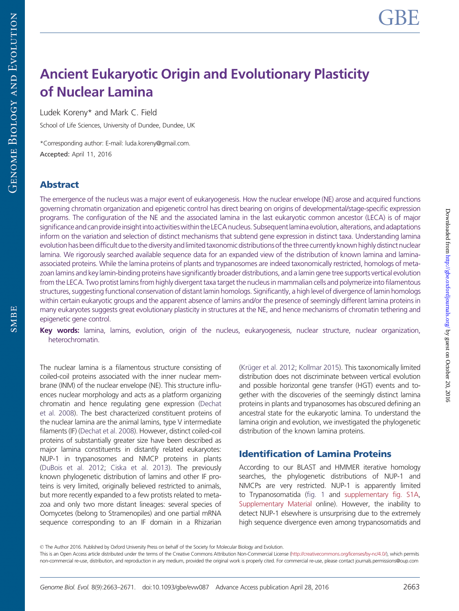SMBE

# Ancient Eukaryotic Origin and Evolutionary Plasticity of Nuclear Lamina

Ludek Koreny\* and Mark C. Field

School of Life Sciences, University of Dundee, Dundee, UK

\*Corresponding author: E-mail: luda.koreny@gmail.com. Accepted: April 11, 2016

# Abstract

The emergence of the nucleus was a major event of eukaryogenesis. How the nuclear envelope (NE) arose and acquired functions governing chromatin organization and epigenetic control has direct bearing on origins of developmental/stage-specific expression programs. The configuration of the NE and the associated lamina in the last eukaryotic common ancestor (LECA) is of major significance and can provide insight into activities within the LECA nucleus. Subsequent lamina evolution, alterations, and adaptations inform on the variation and selection of distinct mechanisms that subtend gene expression in distinct taxa. Understanding lamina evolution has been difficult due to the diversity and limited taxonomic distributions of the three currently known highly distinct nuclear lamina. We rigorously searched available sequence data for an expanded view of the distribution of known lamina and laminaassociated proteins. While the lamina proteins of plants and trypanosomes are indeed taxonomically restricted, homologs of metazoan lamins and key lamin-binding proteins have significantly broader distributions, and a lamin gene tree supports vertical evolution from the LECA. Two protist lamins from highly divergent taxa target the nucleus in mammalian cells and polymerize into filamentous structures, suggesting functional conservation of distant lamin homologs. Significantly, a high level of divergence of lamin homologs within certain eukaryotic groups and the apparent absence of lamins and/or the presence of seemingly different lamina proteins in many eukaryotes suggests great evolutionary plasticity in structures at the NE, and hence mechanisms of chromatin tethering and epigenetic gene control.

Key words: lamina, lamins, evolution, origin of the nucleus, eukaryogenesis, nuclear structure, nuclear organization, heterochromatin.

The nuclear lamina is a filamentous structure consisting of coiled-coil proteins associated with the inner nuclear membrane (INM) of the nuclear envelope (NE). This structure influences nuclear morphology and acts as a platform organizing chromatin and hence regulating gene expression [\(Dechat](#page-8-0) [et al. 2008](#page-8-0)). The best characterized constituent proteins of the nuclear lamina are the animal lamins, type V intermediate filaments (IF) [\(Dechat et al. 2008\)](#page-8-0). However, distinct coiled-coil proteins of substantially greater size have been described as major lamina constituents in distantly related eukaryotes: NUP-1 in trypanosomes and NMCP proteins in plants [\(DuBois et al. 2012](#page-8-0); [Ciska et al. 2013](#page-8-0)). The previously known phylogenetic distribution of lamins and other IF proteins is very limited, originally believed restricted to animals, but more recently expanded to a few protists related to metazoa and only two more distant lineages: several species of Oomycetes (belong to Stramenopiles) and one partial mRNA sequence corresponding to an IF domain in a Rhizarian

(Krüger et al. 2012; [Kollmar 2015](#page-8-0)). This taxonomically limited distribution does not discriminate between vertical evolution and possible horizontal gene transfer (HGT) events and together with the discoveries of the seemingly distinct lamina proteins in plants and trypanosomes has obscured defining an ancestral state for the eukaryotic lamina. To understand the lamina origin and evolution, we investigated the phylogenetic distribution of the known lamina proteins.

# Identification of Lamina Proteins

According to our BLAST and HMMER iterative homology searches, the phylogenetic distributions of NUP-1 and NMCPs are very restricted. NUP-1 is apparently limited to Trypanosomatida [\(fig. 1](#page-2-0) and [supplementary fig. S1A](http://gbe.oxfordjournals.org/lookup/suppl/doi:10.1093/gbe/evw087/-/DC1), [Supplementary Material](http://gbe.oxfordjournals.org/lookup/suppl/doi:10.1093/gbe/evw087/-/DC1) online). However, the inability to detect NUP-1 elsewhere is unsurprising due to the extremely high sequence divergence even among trypanosomatids and

<sup>©</sup> The Author 2016. Published by Oxford University Press on behalf of the Society for Molecular Biology and Evolution.

This is an Open Access article distributed under the terms of the Creative Commons Attribution Non-Commercial License [\(http://creativecommons.org/licenses/by-nc/4.0/](http://creativecommons.org/licenses/by-nc/4.0/)), which permits non-commercial re-use, distribution, and reproduction in any medium, provided the original work is properly cited. For commercial re-use, please contact journals.permissions@oup.com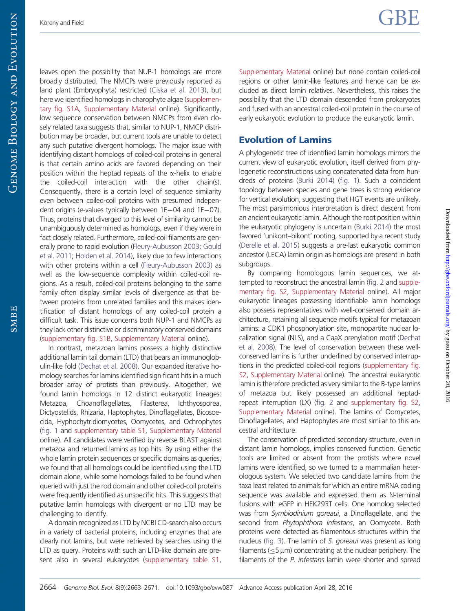SMBE

leaves open the possibility that NUP-1 homologs are more broadly distributed. The NMCPs were previously reported as land plant (Embryophyta) restricted ([Ciska et al. 2013](#page-8-0)), but here we identified homologs in charophyte algae [\(supplemen](http://gbe.oxfordjournals.org/lookup/suppl/doi:10.1093/gbe/evw087/-/DC1)[tary fig. S1A,](http://gbe.oxfordjournals.org/lookup/suppl/doi:10.1093/gbe/evw087/-/DC1) [Supplementary Material](http://gbe.oxfordjournals.org/lookup/suppl/doi:10.1093/gbe/evw087/-/DC1) online). Significantly, low sequence conservation between NMCPs from even closely related taxa suggests that, similar to NUP-1, NMCP distribution may be broader, but current tools are unable to detect any such putative divergent homologs. The major issue with identifying distant homologs of coiled-coil proteins in general is that certain amino acids are favored depending on their position within the heptad repeats of the  $\alpha$ -helix to enable the coiled-coil interaction with the other chain(s). Consequently, there is a certain level of sequence similarity even between coiled-coil proteins with presumed independent origins (e-values typically between 1E-04 and 1E-07). Thus, proteins that diverged to this level of similarity cannot be unambiguously determined as homologs, even if they were in fact closely related. Furthermore, coiled-coil filaments are generally prone to rapid evolution [\(Fleury-Aubusson 2003;](#page-8-0) [Gould](#page-8-0) [et al. 2011](#page-8-0); [Holden et al. 2014\)](#page-8-0), likely due to few interactions with other proteins within a cell ([Fleury-Aubusson 2003](#page-8-0)) as well as the low-sequence complexity within coiled-coil regions. As a result, coiled-coil proteins belonging to the same family often display similar levels of divergence as that between proteins from unrelated families and this makes identification of distant homologs of any coiled-coil protein a difficult task. This issue concerns both NUP-1 and NMCPs as they lack other distinctive or discriminatory conserved domains [\(supplementary fig. S1B](http://gbe.oxfordjournals.org/lookup/suppl/doi:10.1093/gbe/evw087/-/DC1), [Supplementary Material](http://gbe.oxfordjournals.org/lookup/suppl/doi:10.1093/gbe/evw087/-/DC1) online).

In contrast, metazoan lamins possess a highly distinctive additional lamin tail domain (LTD) that bears an immunoglobulin-like fold [\(Dechat et al. 2008\)](#page-8-0). Our expanded iterative homology searches for lamins identified significant hits in a much broader array of protists than previously. Altogether, we found lamin homologs in 12 distinct eukaryotic lineages: Metazoa, Choanoflagellates, Filasterea, Ichthyosporea, Dictyostelids, Rhizaria, Haptophytes, Dinoflagellates, Bicosoecida, Hyphochytridiomycetes, Oomycetes, and Ochrophytes [\(fig. 1](#page-2-0) and [supplementary table S1,](http://gbe.oxfordjournals.org/lookup/suppl/doi:10.1093/gbe/evw087/-/DC1) [Supplementary Material](http://gbe.oxfordjournals.org/lookup/suppl/doi:10.1093/gbe/evw087/-/DC1) online). All candidates were verified by reverse BLAST against metazoa and returned lamins as top hits. By using either the whole lamin protein sequences or specific domains as queries, we found that all homologs could be identified using the LTD domain alone, while some homologs failed to be found when queried with just the rod domain and other coiled-coil proteins were frequently identified as unspecific hits. This suggests that putative lamin homologs with divergent or no LTD may be challenging to identify.

A domain recognized as LTD by NCBI CD-search also occurs in a variety of bacterial proteins, including enzymes that are clearly not lamins, but were retrieved by searches using the LTD as query. Proteins with such an LTD-like domain are present also in several eukaryotes [\(supplementary table S1,](http://gbe.oxfordjournals.org/lookup/suppl/doi:10.1093/gbe/evw087/-/DC1)

[Supplementary Material](http://gbe.oxfordjournals.org/lookup/suppl/doi:10.1093/gbe/evw087/-/DC1) online) but none contain coiled-coil regions or other lamin-like features and hence can be excluded as direct lamin relatives. Nevertheless, this raises the possibility that the LTD domain descended from prokaryotes and fused with an ancestral coiled-coil protein in the course of early eukaryotic evolution to produce the eukaryotic lamin.

# Evolution of Lamins

A phylogenetic tree of identified lamin homologs mirrors the current view of eukaryotic evolution, itself derived from phylogenetic reconstructions using concatenated data from hundreds of proteins [\(Burki 2014\)](#page-8-0) [\(fig. 1\)](#page-2-0). Such a coincident topology between species and gene trees is strong evidence for vertical evolution, suggesting that HGT events are unlikely. The most parsimonious interpretation is direct descent from an ancient eukaryotic lamin. Although the root position within the eukaryotic phylogeny is uncertain [\(Burki 2014](#page-8-0)) the most favored 'unikont–bikont' rooting, supported by a recent study ([Derelle et al. 2015](#page-8-0)) suggests a pre-last eukaryotic common ancestor (LECA) lamin origin as homologs are present in both subgroups.

By comparing homologous lamin sequences, we attempted to reconstruct the ancestral lamin [\(fig. 2](#page-3-0) and [supple](http://gbe.oxfordjournals.org/lookup/suppl/doi:10.1093/gbe/evw087/-/DC1)[mentary fig. S2,](http://gbe.oxfordjournals.org/lookup/suppl/doi:10.1093/gbe/evw087/-/DC1) [Supplementary Material](http://gbe.oxfordjournals.org/lookup/suppl/doi:10.1093/gbe/evw087/-/DC1) online). All major eukaryotic lineages possessing identifiable lamin homologs also possess representatives with well-conserved domain architecture, retaining all sequence motifs typical for metazoan lamins: a CDK1 phosphorylation site, monopartite nuclear localization signal (NLS), and a CaaX prenylation motif ([Dechat](#page-8-0) [et al. 2008](#page-8-0)). The level of conservation between these wellconserved lamins is further underlined by conserved interruptions in the predicted coiled-coil regions [\(supplementary fig.](http://gbe.oxfordjournals.org/lookup/suppl/doi:10.1093/gbe/evw087/-/DC1) [S2,](http://gbe.oxfordjournals.org/lookup/suppl/doi:10.1093/gbe/evw087/-/DC1) [Supplementary Material](http://gbe.oxfordjournals.org/lookup/suppl/doi:10.1093/gbe/evw087/-/DC1) online). The ancestral eukaryotic lamin is therefore predicted as very similar to the B-type lamins of metazoa but likely possessed an additional heptadrepeat interruption (LX) [\(fig. 2](#page-3-0) and [supplementary fig. S2](http://gbe.oxfordjournals.org/lookup/suppl/doi:10.1093/gbe/evw087/-/DC1), [Supplementary Material](http://gbe.oxfordjournals.org/lookup/suppl/doi:10.1093/gbe/evw087/-/DC1) online). The lamins of Oomycetes, Dinoflagellates, and Haptophytes are most similar to this ancestral architecture.

The conservation of predicted secondary structure, even in distant lamin homologs, implies conserved function. Genetic tools are limited or absent from the protists where novel lamins were identified, so we turned to a mammalian heterologous system. We selected two candidate lamins from the taxa least related to animals for which an entire mRNA coding sequence was available and expressed them as N-terminal fusions with eGFP in HEK293T cells. One homolog selected was from Symbiodinium goreaui, a Dinoflagellate, and the second from Phytophthora infestans, an Oomycete. Both proteins were detected as filamentous structures within the nucleus [\(fig. 3](#page-4-0)). The lamin of S. goreaui was present as long filaments ( $\leq$ 5  $\mu$ m) concentrating at the nuclear periphery. The filaments of the P. infestans lamin were shorter and spread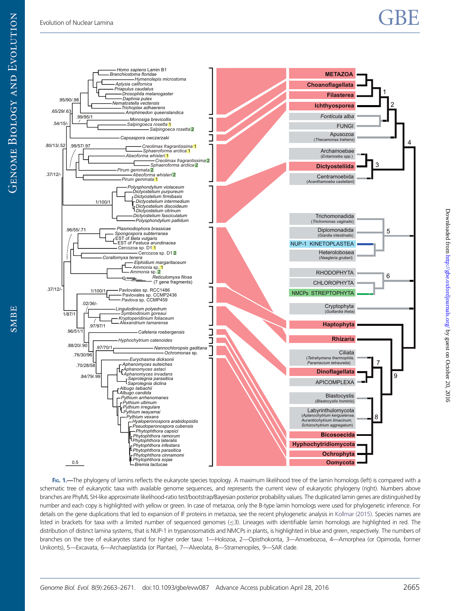# <span id="page-2-0"></span>Evolution of Nuclear Lamina  $\mathbf{GBE}$



FIG. 1.—The phylogeny of lamins reflects the eukaryote species topology. A maximum likelihood tree of the lamin homologs (left) is compared with a schematic tree of eukaryotic taxa with available genome sequences, and represents the current view of eukaryotic phylogeny (right). Numbers above branches are PhyML SH-like approximate likelihood-ratio test/bootstrap/Bayesian posterior probability values. The duplicated lamin genes are distinguished by number and each copy is highlighted with yellow or green. In case of metazoa, only the B-type lamin homologs were used for phylogenetic inference. For details on the gene duplications that led to expansion of IF proteins in metazoa, see the recent phylogenetic analysis in [Kollmar \(2015\).](#page-8-0) Species names are listed in brackets for taxa with a limited number of sequenced genomes (<3). Lineages with identifiable lamin homologs are highlighted in red. The distribution of distinct lamina systems, that is NUP-1 in trypanosomatids and NMCPs in plants, is highlighted in blue and green, respectively. The numbers of branches on the tree of eukaryotes stand for higher order taxa: 1—Holozoa, 2—Opisthokonta, 3—Amoebozoa, 4—Amorphea (or Opimoda, former Unikonts), 5—Excavata, 6—Archaeplastida (or Plantae), 7—Alveolata, 8—Stramenopiles, 9—SAR clade.

SMBE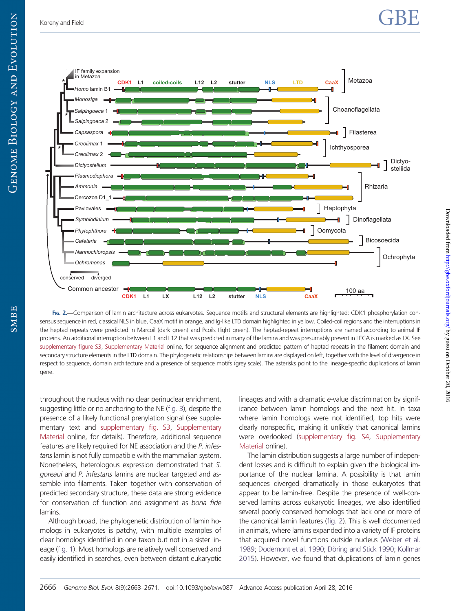Downloaded from  $http://gbe.oxfordjounalso.org/ by guest on October 20, 2016$ 

Downloaded from http://gbe.oxfordjournals.org/ by guest on October 20, 2016

<span id="page-3-0"></span>

FIG. 2.—Comparison of lamin architecture across eukaryotes. Sequence motifs and structural elements are highlighted: CDK1 phosphorylation consensus sequence in red, classical NLS in blue, CaaX motif in orange, and Ig-like LTD domain highlighted in yellow. Coiled-coil regions and the interruptions in the heptad repeats were predicted in Marcoil (dark green) and Pcoils (light green). The heptad-repeat interruptions are named according to animal IF proteins. An additional interruption between L1 and L12 that was predicted in many of the lamins and was presumably present in LECA is marked as LX. See [supplementary figure S3,](http://gbe.oxfordjournals.org/lookup/suppl/doi:10.1093/gbe/evw087/-/DC1) [Supplementary Material](http://gbe.oxfordjournals.org/lookup/suppl/doi:10.1093/gbe/evw087/-/DC1) online, for sequence alignment and predicted pattern of heptad repeats in the filament domain and secondary structure elements in the LTD domain. The phylogenetic relationships between lamins are displayed on left, together with the level of divergence in respect to sequence, domain architecture and a presence of sequence motifs (grey scale). The asterisks point to the lineage-specific duplications of lamin gene.

throughout the nucleus with no clear perinuclear enrichment, suggesting little or no anchoring to the NE [\(fig. 3\)](#page-4-0), despite the presence of a likely functional prenylation signal (see supplementary text and [supplementary fig. S3](http://gbe.oxfordjournals.org/lookup/suppl/doi:10.1093/gbe/evw087/-/DC1), [Supplementary](http://gbe.oxfordjournals.org/lookup/suppl/doi:10.1093/gbe/evw087/-/DC1) [Material](http://gbe.oxfordjournals.org/lookup/suppl/doi:10.1093/gbe/evw087/-/DC1) online, for details). Therefore, additional sequence features are likely required for NE association and the P. infestans lamin is not fully compatible with the mammalian system. Nonetheless, heterologous expression demonstrated that S. goreaui and P. infestans lamins are nuclear targeted and assemble into filaments. Taken together with conservation of predicted secondary structure, these data are strong evidence for conservation of function and assignment as bona fide lamins.

Although broad, the phylogenetic distribution of lamin homologs in eukaryotes is patchy, with multiple examples of clear homologs identified in one taxon but not in a sister lineage [\(fig. 1\)](#page-2-0). Most homologs are relatively well conserved and easily identified in searches, even between distant eukaryotic lineages and with a dramatic e-value discrimination by significance between lamin homologs and the next hit. In taxa where lamin homologs were not identified, top hits were clearly nonspecific, making it unlikely that canonical lamins were overlooked ([supplementary fig. S4](http://gbe.oxfordjournals.org/lookup/suppl/doi:10.1093/gbe/evw087/-/DC1), [Supplementary](http://gbe.oxfordjournals.org/lookup/suppl/doi:10.1093/gbe/evw087/-/DC1) [Material](http://gbe.oxfordjournals.org/lookup/suppl/doi:10.1093/gbe/evw087/-/DC1) online).

The lamin distribution suggests a large number of independent losses and is difficult to explain given the biological importance of the nuclear lamina. A possibility is that lamin sequences diverged dramatically in those eukaryotes that appear to be lamin-free. Despite the presence of well-conserved lamins across eukaryotic lineages, we also identified several poorly conserved homologs that lack one or more of the canonical lamin features (fig. 2). This is well documented in animals, where lamins expanded into a variety of IF proteins that acquired novel functions outside nucleus [\(Weber et al.](#page-8-0) [1989](#page-8-0); [Dodemont et al. 1990](#page-8-0); Döring and Stick 1990; [Kollmar](#page-8-0) [2015](#page-8-0)). However, we found that duplications of lamin genes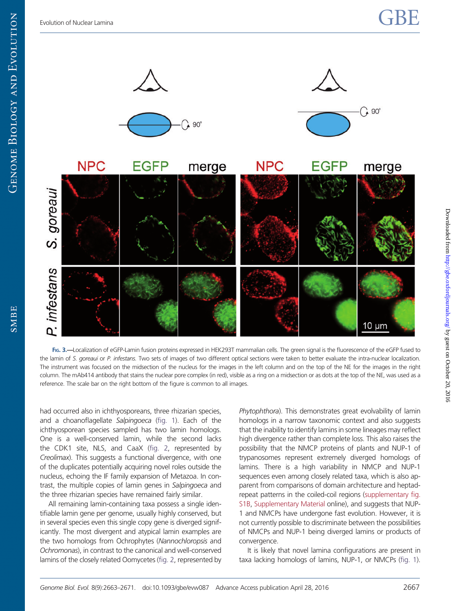<span id="page-4-0"></span>**GENOME BIOLOGY AND EVOLUTION** 

**SMBE** 



FIG. 3.—Localization of eGFP-Lamin fusion proteins expressed in HEK293T mammalian cells. The green signal is the fluorescence of the eGFP fused to the lamin of S. goreaui or P. infestans. Two sets of images of two different optical sections were taken to better evaluate the intra-nuclear localization. The instrument was focused on the midsection of the nucleus for the images in the left column and on the top of the NE for the images in the right column. The mAb414 antibody that stains the nuclear pore complex (in red), visible as a ring on a midsection or as dots at the top of the NE, was used as a reference. The scale bar on the right bottom of the figure is common to all images.

had occurred also in ichthyosporeans, three rhizarian species, and a choanoflagellate Salpingoeca [\(fig. 1](#page-2-0)). Each of the ichthyosporean species sampled has two lamin homologs. One is a well-conserved lamin, while the second lacks the CDK1 site, NLS, and CaaX [\(fig. 2,](#page-3-0) represented by Creolimax). This suggests a functional divergence, with one of the duplicates potentially acquiring novel roles outside the nucleus, echoing the IF family expansion of Metazoa. In contrast, the multiple copies of lamin genes in Salpingoeca and the three rhizarian species have remained fairly similar.

All remaining lamin-containing taxa possess a single identifiable lamin gene per genome, usually highly conserved, but in several species even this single copy gene is diverged significantly. The most divergent and atypical lamin examples are the two homologs from Ochrophytes (Nannochloropsis and Ochromonas), in contrast to the canonical and well-conserved lamins of the closely related Oomycetes [\(fig. 2,](#page-3-0) represented by Phytophthora). This demonstrates great evolvability of lamin homologs in a narrow taxonomic context and also suggests that the inability to identify lamins in some lineages may reflect high divergence rather than complete loss. This also raises the possibility that the NMCP proteins of plants and NUP-1 of trypanosomes represent extremely diverged homologs of lamins. There is a high variability in NMCP and NUP-1 sequences even among closely related taxa, which is also apparent from comparisons of domain architecture and heptadrepeat patterns in the coiled-coil regions ([supplementary fig.](http://gbe.oxfordjournals.org/lookup/suppl/doi:10.1093/gbe/evw087/-/DC1) [S1B,](http://gbe.oxfordjournals.org/lookup/suppl/doi:10.1093/gbe/evw087/-/DC1) [Supplementary Material](http://gbe.oxfordjournals.org/lookup/suppl/doi:10.1093/gbe/evw087/-/DC1) online), and suggests that NUP-1 and NMCPs have undergone fast evolution. However, it is not currently possible to discriminate between the possibilities of NMCPs and NUP-1 being diverged lamins or products of convergence.

It is likely that novel lamina configurations are present in taxa lacking homologs of lamins, NUP-1, or NMCPs [\(fig. 1\)](#page-2-0).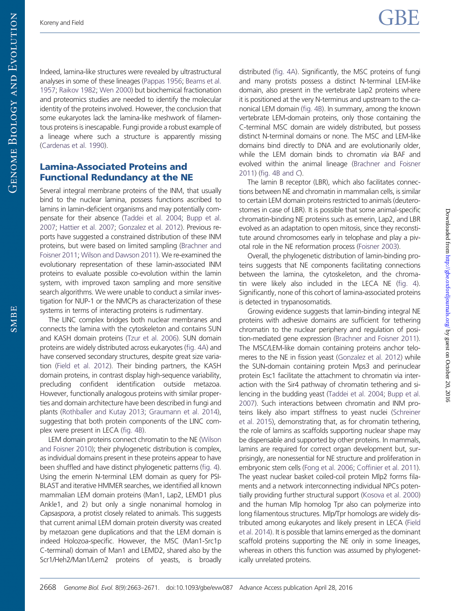Downloaded from  $http://gbe.oxfordjounalso.org/ by guest on October 20, 2016$ 

Downloaded from http://gbe.oxfordjournals.org/ by guest on October 20, 2016

Indeed, lamina-like structures were revealed by ultrastructural analyses in some of these lineages ([Pappas 1956](#page-8-0); [Beams et al.](#page-8-0) [1957;](#page-8-0) [Raikov 1982](#page-8-0); [Wen 2000](#page-8-0)) but biochemical fractionation and proteomics studies are needed to identify the molecular identity of the proteins involved. However, the conclusion that some eukaryotes lack the lamina-like meshwork of filamentous proteins is inescapable. Fungi provide a robust example of a lineage where such a structure is apparently missing [\(Cardenas et al. 1990](#page-8-0)).

# Lamina-Associated Proteins and Functional Redundancy at the NE

Several integral membrane proteins of the INM, that usually bind to the nuclear lamina, possess functions ascribed to lamins in lamin-deficient organisms and may potentially compensate for their absence ([Taddei et al. 2004;](#page-8-0) [Bupp et al.](#page-8-0) [2007;](#page-8-0) [Hattier et al. 2007](#page-8-0); [Gonzalez et al. 2012\)](#page-8-0). Previous reports have suggested a constrained distribution of these INM proteins, but were based on limited sampling [\(Brachner and](#page-8-0) [Foisner 2011;](#page-8-0) [Wilson and Dawson 2011\)](#page-8-0). We re-examined the evolutionary representation of these lamin-associated INM proteins to evaluate possible co-evolution within the lamin system, with improved taxon sampling and more sensitive search algorithms. We were unable to conduct a similar investigation for NUP-1 or the NMCPs as characterization of these systems in terms of interacting proteins is rudimentary.

The LINC complex bridges both nuclear membranes and connects the lamina with the cytoskeleton and contains SUN and KASH domain proteins [\(Tzur et al. 2006](#page-8-0)). SUN domain proteins are widely distributed across eukaryotes ([fig. 4A\)](#page-6-0) and have conserved secondary structures, despite great size variation [\(Field et al. 2012\)](#page-8-0). Their binding partners, the KASH domain proteins, in contrast display high-sequence variability, precluding confident identification outside metazoa. However, functionally analogous proteins with similar properties and domain architecture have been described in fungi and plants ([Rothballer and Kutay 2013](#page-8-0); [Graumann et al. 2014](#page-8-0)), suggesting that both protein components of the LINC complex were present in LECA [\(fig. 4B\)](#page-6-0).

LEM domain proteins connect chromatin to the NE [\(Wilson](#page-8-0) [and Foisner 2010\)](#page-8-0); their phylogenetic distribution is complex, as individual domains present in these proteins appear to have been shuffled and have distinct phylogenetic patterns [\(fig. 4](#page-6-0)). Using the emerin N-terminal LEM domain as query for PSI-BLAST and iterative HMMER searches, we identified all known mammalian LEM domain proteins (Man1, Lap2, LEMD1 plus Ankle1, and 2) but only a single nonanimal homolog in Capsaspora, a protist closely related to animals. This suggests that current animal LEM domain protein diversity was created by metazoan gene duplications and that the LEM domain is indeed Holozoa-specific. However, the MSC (Man1-Src1p C-terminal) domain of Man1 and LEMD2, shared also by the Scr1/Heh2/Man1/Lem2 proteins of yeasts, is broadly distributed ([fig. 4A](#page-6-0)). Significantly, the MSC proteins of fungi and many protists possess a distinct N-terminal LEM-like domain, also present in the vertebrate Lap2 proteins where it is positioned at the very N-terminus and upstream to the canonical LEM domain [\(fig. 4B\)](#page-6-0). In summary, among the known vertebrate LEM-domain proteins, only those containing the C-terminal MSC domain are widely distributed, but possess distinct N-terminal domains or none. The MSC and LEM-like domains bind directly to DNA and are evolutionarily older, while the LEM domain binds to chromatin via BAF and evolved within the animal lineage [\(Brachner and Foisner](#page-8-0) [2011](#page-8-0)) [\(fig. 4B and](#page-6-0) C).

The lamin B receptor (LBR), which also facilitates connections between NE and chromatin in mammalian cells, is similar to certain LEM domain proteins restricted to animals (deuterostomes in case of LBR). It is possible that some animal-specific chromatin-binding NE proteins such as emerin, Lap2, and LBR evolved as an adaptation to open mitosis, since they reconstitute around chromosomes early in telophase and play a pivotal role in the NE reformation process ([Foisner 2003](#page-8-0)).

Overall, the phylogenetic distribution of lamin-binding proteins suggests that NE components facilitating connections between the lamina, the cytoskeleton, and the chromatin were likely also included in the LECA NE [\(fig. 4\)](#page-6-0). Significantly, none of this cohort of lamina-associated proteins is detected in trypanosomatids.

Growing evidence suggests that lamin-binding integral NE proteins with adhesive domains are sufficient for tethering chromatin to the nuclear periphery and regulation of position-mediated gene expression [\(Brachner and Foisner 2011\)](#page-8-0). The MSC/LEM-like domain containing proteins anchor telomeres to the NE in fission yeast ([Gonzalez et al. 2012\)](#page-8-0) while the SUN-domain containing protein Mps3 and perinuclear protein Esc1 facilitate the attachment to chromatin via interaction with the Sir4 pathway of chromatin tethering and silencing in the budding yeast [\(Taddei et al. 2004;](#page-8-0) [Bupp et al.](#page-8-0) [2007](#page-8-0)). Such interactions between chromatin and INM proteins likely also impart stiffness to yeast nuclei [\(Schreiner](#page-8-0) [et al. 2015\)](#page-8-0), demonstrating that, as for chromatin tethering, the role of lamins as scaffolds supporting nuclear shape may be dispensable and supported by other proteins. In mammals, lamins are required for correct organ development but, surprisingly, are nonessential for NE structure and proliferation in embryonic stem cells [\(Fong et al. 2006](#page-8-0); [Coffinier et al. 2011\)](#page-8-0). The yeast nuclear basket coiled-coil protein Mlp2 forms filaments and a network interconnecting individual NPCs potentially providing further structural support [\(Kosova et al. 2000](#page-8-0)) and the human Mlp homolog Tpr also can polymerize into long filamentous structures. Mlp/Tpr homologs are widely distributed among eukaryotes and likely present in LECA [\(Field](#page-8-0) [et al. 2014\)](#page-8-0). It is possible that lamins emerged as the dominant scaffold proteins supporting the NE only in some lineages, whereas in others this function was assumed by phylogenetically unrelated proteins.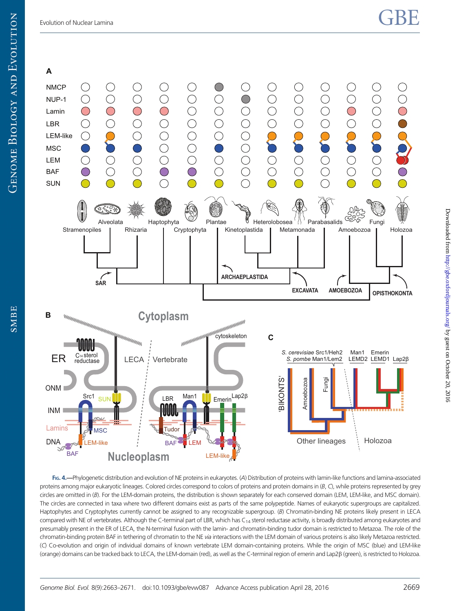<span id="page-6-0"></span>

FIG. 4.—Phylogenetic distribution and evolution of NE proteins in eukaryotes. (A) Distribution of proteins with lamin-like functions and lamina-associated proteins among major eukaryotic lineages. Colored circles correspond to colors of proteins and protein domains in  $(B, C)$ , while proteins represented by grey circles are omitted in (B). For the LEM-domain proteins, the distribution is shown separately for each conserved domain (LEM, LEM-like, and MSC domain). The circles are connected in taxa where two different domains exist as parts of the same polypeptide. Names of eukaryotic supergroups are capitalized. Haptophytes and Cryptophytes currently cannot be assigned to any recognizable supergroup. (B) Chromatin-binding NE proteins likely present in LECA compared with NE of vertebrates. Although the C-terminal part of LBR, which has C<sub>14</sub> sterol reductase activity, is broadly distributed among eukaryotes and presumably present in the ER of LECA, the N-terminal fusion with the lamin- and chromatin-binding tudor domain is restricted to Metazoa. The role of the chromatin-binding protein BAF in tethering of chromatin to the NE via interactions with the LEM domain of various proteins is also likely Metazoa restricted. (C) Co-evolution and origin of individual domains of known vertebrate LEM domain-containing proteins. While the origin of MSC (blue) and LEM-like (orange) domains can be tracked back to LECA, the LEM-domain (red), as well as the C-terminal region of emerin and Lap2b (green), is restricted to Holozoa. Downloaded from  $http://gbe.oxfordjounalso.org/ by guest on October 20, 2016$ 

Downloaded from http://gbe.oxfordjournals.org/ by guest on October 20, 2016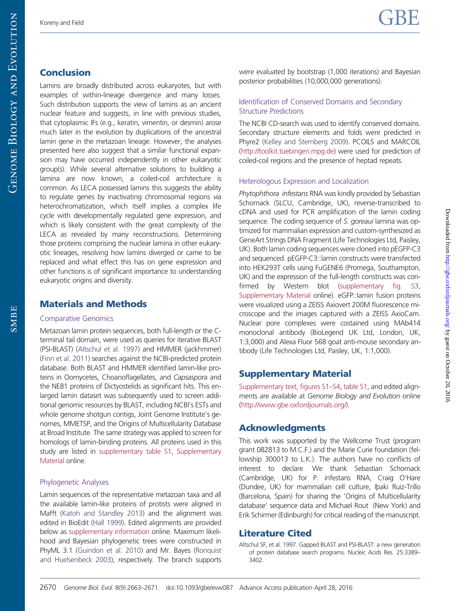SMBE

# **Conclusion**

Lamins are broadly distributed across eukaryotes, but with examples of within-lineage divergence and many losses. Such distribution supports the view of lamins as an ancient nuclear feature and suggests, in line with previous studies, that cytoplasmic IFs (e.g., keratin, vimentin, or desmin) arose much later in the evolution by duplications of the ancestral lamin gene in the metazoan lineage. However, the analyses presented here also suggest that a similar functional expansion may have occurred independently in other eukaryotic group(s). While several alternative solutions to building a lamina are now known, a coiled-coil architecture is common. As LECA possessed lamins this suggests the ability to regulate genes by inactivating chromosomal regions via heterochromatization, which itself implies a complex life cycle with developmentally regulated gene expression, and which is likely consistent with the great complexity of the LECA as revealed by many reconstructions. Determining those proteins comprising the nuclear lamina in other eukaryotic lineages, resolving how lamins diverged or came to be replaced and what effect this has on gene expression and other functions is of significant importance to understanding eukaryotic origins and diversity.

### Materials and Methods

#### Comparative Genomics

Metazoan lamin protein sequences, both full-length or the Cterminal tail domain, were used as queries for iterative BLAST (PSI-BLAST) (Altschul et al. 1997) and HMMER (jackhmmer) [\(Finn et al. 2011](#page-8-0)) searches against the NCBI-predicted protein database. Both BLAST and HMMER identified lamin-like proteins in Oomycetes, Choanoflagellates, and Capsaspora and the NE81 proteins of Dictyostelids as significant hits. This enlarged lamin dataset was subsequently used to screen additional genomic resources by BLAST, including NCBI's ESTs and whole genome shotgun contigs, Joint Genome Institute's genomes, MMETSP, and the Origins of Multicellularity Database at Broad Institute. The same strategy was applied to screen for homologs of lamin-binding proteins. All proteins used in this study are listed in [supplementary table S1,](http://gbe.oxfordjournals.org/lookup/suppl/doi:10.1093/gbe/evw087/-/DC1) [Supplementary](http://gbe.oxfordjournals.org/lookup/suppl/doi:10.1093/gbe/evw087/-/DC1) [Material](http://gbe.oxfordjournals.org/lookup/suppl/doi:10.1093/gbe/evw087/-/DC1) online.

#### Phylogenetic Analyses

Lamin sequences of the representative metazoan taxa and all the available lamin-like proteins of protists were aligned in Mafft ([Katoh and Standley 2013](#page-8-0)) and the alignment was edited in BioEdit ([Hall 1999](#page-8-0)). Edited alignments are provided below as [supplementary information](http://gbe.oxfordjournals.org/lookup/suppl/doi:10.1093/gbe/evw087/-/DC1) online. Maximum likelihood and Bayesian phylogenetic trees were constructed in PhyML 3.1 ([Guindon et al. 2010\)](#page-8-0) and Mr. Bayes [\(Ronquist](#page-8-0) [and Huelsenbeck 2003](#page-8-0)), respectively. The branch supports

were evaluated by bootstrap (1,000 iterations) and Bayesian posterior probabilities (10,000,000 generations).

#### Identification of Conserved Domains and Secondary Structure Predictions

The NCBI CD-search was used to identify conserved domains. Secondary structure elements and folds were predicted in Phyre2 ([Kelley and Sternberg 2009](#page-8-0)). PCOILS and MARCOIL (<http://toolkit.tuebingen.mpg.de>) were used for prediction of coiled-coil regions and the presence of heptad repeats.

#### Heterologous Expression and Localization

Phytophthora infestans RNA was kindly provided by Sebastian Schornack (SLCU, Cambridge, UK), reverse-transcribed to cDNA and used for PCR amplification of the lamin coding sequence. The coding sequence of S. goreaui lamina was optimized for mammalian expression and custom-synthesized as GeneArt Strings DNA Fragment (Life Technologies Ltd, Paisley, UK). Both lamin coding sequences were cloned into pEGFP-C3 and sequenced. pEGFP-C3::lamin constructs were transfected into HEK293T cells using FuGENE6 (Promega, Southampton, UK) and the expression of the full-length constructs was confirmed by Western blot [\(supplementary fig. S3](http://gbe.oxfordjournals.org/lookup/suppl/doi:10.1093/gbe/evw087/-/DC1), [Supplementary Material](http://gbe.oxfordjournals.org/lookup/suppl/doi:10.1093/gbe/evw087/-/DC1) online). eGFP::lamin fusion proteins were visualized using a ZEISS Axiovert 200M fluorescence microscope and the images captured with a ZEISS AxioCam. Nuclear pore complexes were costained using MAb414 monoclonal antibody (BioLegend UK Ltd, London, UK, 1:3,000) and Alexa Fluor 568 goat anti-mouse secondary antibody (Life Technologies Ltd, Paisley, UK, 1:1,000).

# Supplementary Material

[Supplementary text, figures S1–S4](http://gbe.oxfordjournals.org/lookup/suppl/doi:10.1093/gbe/evw087/-/DC1), [table S1,](http://gbe.oxfordjournals.org/lookup/suppl/doi:10.1093/gbe/evw087/-/DC1) and edited alignments are available at Genome Biology and Evolution online ([http://www.gbe.oxfordjournals.org/\)](http://www.gbe.oxfordjournals.org/).

# Acknowledgments

This work was supported by the Wellcome Trust (program grant 082813 to M.C.F.) and the Marie Curie foundation (fellowship 300013 to L.K.). The authors have no conflicts of interest to declare. We thank Sebastian Schornack (Cambridge, UK) for P. infestans RNA, Craig O'Hare (Dundee, UK) for mammalian cell culture, Iþaki Ruiz-Trillo (Barcelona, Spain) for sharing the 'Origins of Multicellularity database' sequence data and Michael Rout (New York) and Erik Schirmer (Edinburgh) for critical reading of the manuscript.

# Literature Cited

Altschul SF, et al. 1997. Gapped BLAST and PSI-BLAST: a new generation of protein database search programs. Nucleic Acids Res. 25:3389– 3402.